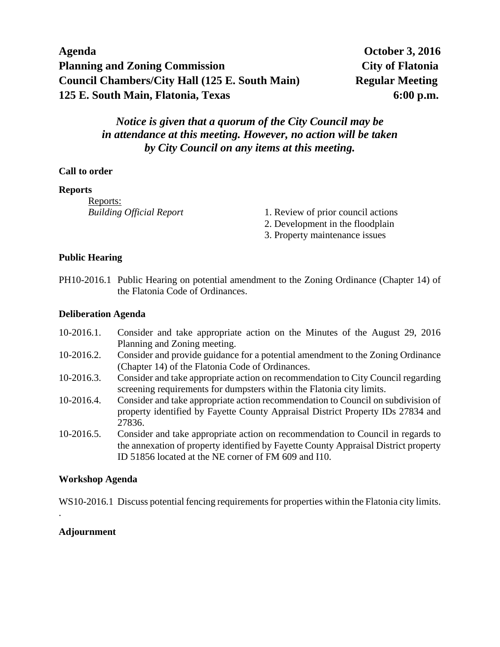| Agenda                                                |  |
|-------------------------------------------------------|--|
| <b>Planning and Zoning Commission</b>                 |  |
| <b>Council Chambers/City Hall (125 E. South Main)</b> |  |
| 125 E. South Main, Flatonia, Texas                    |  |

# *Notice is given that a quorum of the City Council may be in attendance at this meeting. However, no action will be taken by City Council on any items at this meeting.*

## **Call to order**

### **Reports**

Reports:

- *Building Official Report* 1. Review of prior council actions
	- 2. Development in the floodplain
	- 3. Property maintenance issues

## **Public Hearing**

PH10-2016.1 Public Hearing on potential amendment to the Zoning Ordinance (Chapter 14) of the Flatonia Code of Ordinances.

### **Deliberation Agenda**

- 10-2016.1. Consider and take appropriate action on the Minutes of the August 29, 2016 Planning and Zoning meeting.
- 10-2016.2. Consider and provide guidance for a potential amendment to the Zoning Ordinance (Chapter 14) of the Flatonia Code of Ordinances.
- 10-2016.3. Consider and take appropriate action on recommendation to City Council regarding screening requirements for dumpsters within the Flatonia city limits.
- 10-2016.4. Consider and take appropriate action recommendation to Council on subdivision of property identified by Fayette County Appraisal District Property IDs 27834 and 27836.
- 10-2016.5. Consider and take appropriate action on recommendation to Council in regards to the annexation of property identified by Fayette County Appraisal District property ID 51856 located at the NE corner of FM 609 and I10.

### **Workshop Agenda**

WS10-2016.1 Discuss potential fencing requirements for properties within the Flatonia city limits.

## **Adjournment**

.